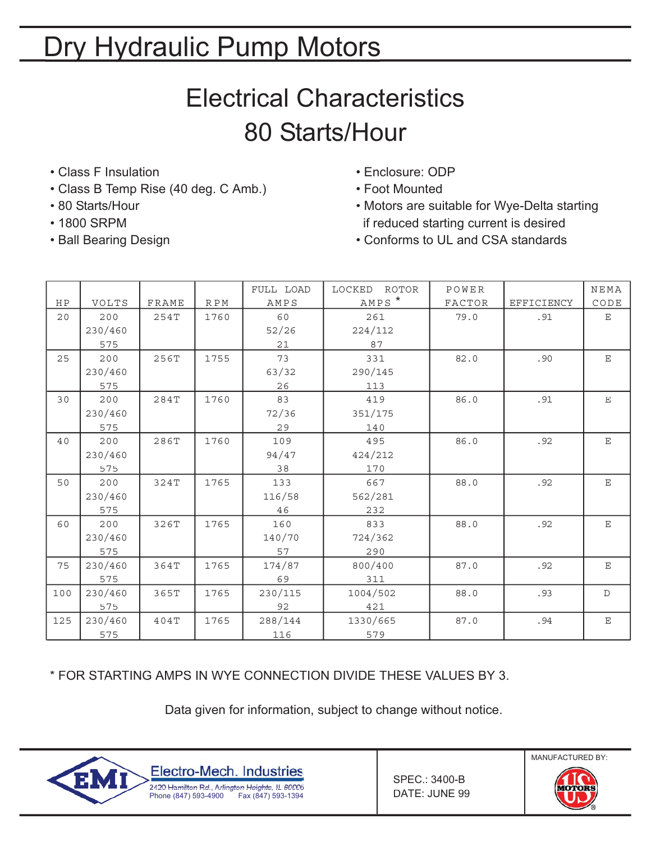# Electrical Characteristics 80 Starts/Hour

- Class F Insulation Class F Insulation Enclosure: ODP
- Class B Temp Rise (40 deg. C Amb.) Foot Mounted
- 
- 
- 
- 
- 
- 80 Starts/Hour Motors are suitable for Wye-Delta starting • 1800 SRPM if reduced starting current is desired
- Ball Bearing Design Conforms to UL and CSA standards

| ${\rm H\,P}$ |                              | FRAME |                         | FULL LOAD<br>AMPS                                      | LOCKED<br>ROTOR<br>AMPS * | POWER<br>FACTOR | EFFICIENCY | NEMA                           |
|--------------|------------------------------|-------|-------------------------|--------------------------------------------------------|---------------------------|-----------------|------------|--------------------------------|
| 20           | VOLTS<br>200<br>230/460      | 254T  | $\mathbb R$ P M<br>1760 | 60<br>261<br>52/26<br>224/112                          |                           | 79.0            | .91        | $\texttt{CODE}$<br>$\mathbf E$ |
| 25           | 575<br>200<br>230/460<br>575 | 256T  | 1755                    | 21<br>87<br>73<br>331<br>63/32<br>290/145<br>26<br>113 |                           | 82.0            | .90        | $\mathbf E$                    |
| 30           | 200<br>230/460<br>575        | 284T  | 1760                    | 83<br>72/36<br>29                                      | 419<br>351/175<br>140     | 86.0            | .91        | $\mathbf E$                    |
| 40           | 200<br>230/460<br>575        | 286T  | 1760                    | 109<br>94/47<br>38                                     | 495<br>424/212<br>170     | 86.0            | .92        | $\mathbf E$                    |
| 50           | 200<br>230/460<br>575        | 324T  | 1765                    | 133<br>116/58<br>46                                    | 667<br>562/281<br>232     | 88.0            | .92        | $\mathbf E$                    |
| 60           | 200<br>230/460<br>575        | 326T  | 1765                    | 160<br>140/70<br>57                                    | 833<br>724/362<br>290     | 88.0            | .92        | $\mathbf E$                    |
| 75           | 230/460<br>575               | 364T  | 1765                    | 174/87<br>69                                           | 800/400<br>311            | 87.0            | .92        | $\mathbf E$                    |
| 100          | 230/460<br>575               | 365T  | 1765                    | 230/115<br>92                                          | 1004/502<br>421           | 88.0            | .93        | $\mathbb{D}$                   |
| 125          | 230/460<br>575               | 404T  | 1765                    | 288/144<br>116                                         | 1330/665<br>579           | 87.0            | .94        | $\mathbf E$                    |

\* FOR STARTING AMPS IN WYE CONNECTION DIVIDE THESE VALUES BY 3.

Data given for information, subject to change without notice.



SPEC.: 3400-B DATE: JUNE 99

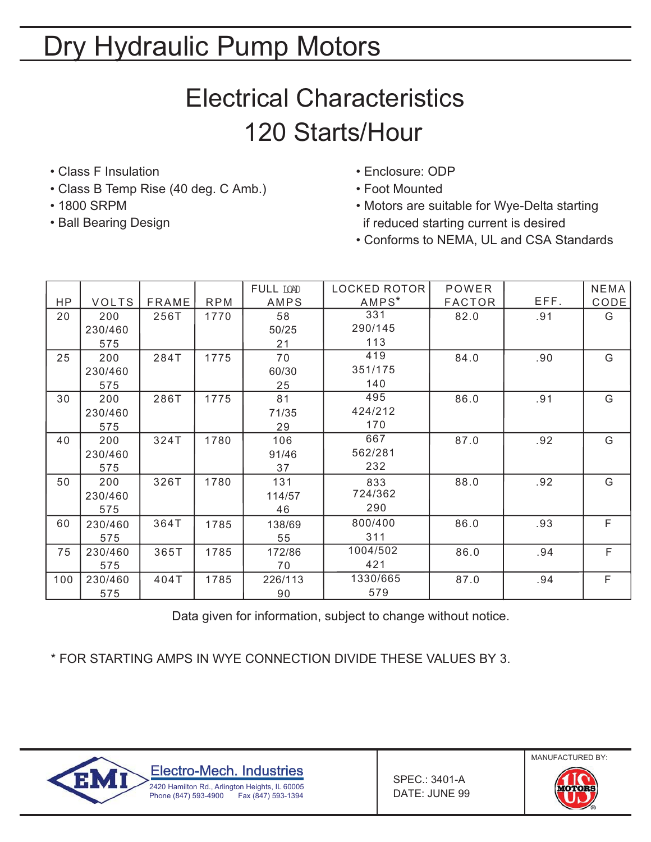# Electrical Characteristics 120 Starts/Hour

- Class F Insulation Class F Insulation Enclosure: ODP
- Class B Temp Rise (40 deg. C Amb.) Foot Mounted
- 
- 
- 
- 
- 1800 SRPM 1800 SRPM Motors are suitable for Wye-Delta starting • Ball Bearing Design if reduced starting current is desired
	- Conforms to NEMA, UL and CSA Standards

|     |              |              |            | FULL LOPD | LOCKED ROTOR | <b>POWER</b>  |      | <b>NEMA</b> |
|-----|--------------|--------------|------------|-----------|--------------|---------------|------|-------------|
| HP  | <b>VOLTS</b> | <b>FRAME</b> | <b>RPM</b> | AMPS      | $AMPS^*$     | <b>FACTOR</b> | EFF. | CODE        |
| 20  | 200          | 256T         | 1770       | 58        | 331          | 82.0          | .91  | G           |
|     | 230/460      |              |            | 50/25     | 290/145      |               |      |             |
|     | 575          |              |            | 21        | 113          |               |      |             |
| 25  | 200          | 284T         | 1775       | 70        | 419          | 84.0          | .90  | G           |
|     | 230/460      |              |            | 60/30     | 351/175      |               |      |             |
|     | 575          |              |            | 25        | 140          |               |      |             |
| 30  | 200          | 286T         | 1775       | 81        | 495          | 86.0          | .91  | G           |
|     | 230/460      |              |            | 71/35     | 424/212      |               |      |             |
|     | 575          |              |            | 29        | 170          |               |      |             |
| 40  | 200          | 324T         | 1780       | 106       | 667          | 87.0          | .92  | G           |
|     | 230/460      |              |            | 91/46     | 562/281      |               |      |             |
|     | 575          |              |            | 37        | 232          |               |      |             |
| 50  | 200          | 326T         | 1780       | 131       | 833          | 88.0          | .92  | G           |
|     | 230/460      |              |            | 114/57    | 724/362      |               |      |             |
|     | 575          |              |            | 46        | 290          |               |      |             |
| 60  | 230/460      | 364T         | 1785       | 138/69    | 800/400      | 86.0          | .93  | F           |
|     | 575          |              |            | 55        | 311          |               |      |             |
| 75  | 230/460      | 365T         | 1785       | 172/86    | 1004/502     | 86.0          | .94  | F           |
|     | 575          |              |            | 70        | 421          |               |      |             |
| 100 | 230/460      | 404T         | 1785       | 226/113   | 1330/665     | 87.0          | .94  | F           |
|     | 575          |              |            | 90        | 579          |               |      |             |

Data given for information, subject to change without notice.

\* FOR STARTING AMPS IN WYE CONNECTION DIVIDE THESE VALUES BY 3.



SPEC.: 3401-A DATE: JUNE 99

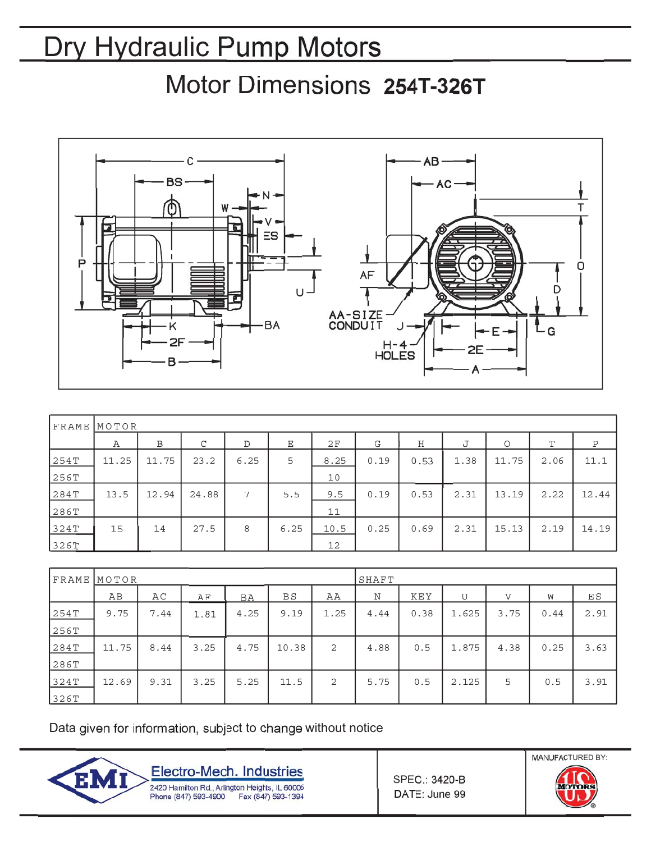Motor Dimensions 254T-326T



| <b>FRAME</b> | MOTOR |       |       |      |      |      |      |      |      |         |      |             |
|--------------|-------|-------|-------|------|------|------|------|------|------|---------|------|-------------|
|              | Α     | B     | C     | D    | Ε    | 2F   | G    | Н    | J    | $\circ$ | T    | $\mathbf P$ |
| 254T         | 11.25 | 11.75 | 23.2  | 6.25 | 5    | 8.25 | 0.19 | 0.53 | 1.38 | 11.75   | 2.06 | 11.1        |
| 256T         |       |       |       |      |      | 10   |      |      |      |         |      |             |
| 284T         | 13.5  | 12.94 | 24.88 | 7    | 5.5  | 9.5  | 0.19 | 0.53 | 2.31 | 13.19   | 2.22 | 12.44       |
| 286T         |       |       |       |      |      | 11   |      |      |      |         |      |             |
| 324T         | 15    | 14    | 27.5  | 8    | 6.25 | 10.5 | 0.25 | 0.69 | 2.31 | 15.13   | 2.19 | 14.19       |
| 326T         |       |       |       |      |      | 12   |      |      |      |         |      |             |

|      | FRAME MOTOR |      |      |      | SHAFT     |                |      |            |       |              |      |      |
|------|-------------|------|------|------|-----------|----------------|------|------------|-------|--------------|------|------|
|      | AB          | AC   | ΑF   | BA   | <b>BS</b> | ΑA             | N    | <b>KEY</b> | U     | $\mathbf{V}$ | W    | ΕS   |
| 254T | 9.75        | 7.44 | 1.81 | 4.25 | 9.19      | 1.25           | 4.44 | 0.38       | 1.625 | 3.75         | 0.44 | 2.91 |
| 256T |             |      |      |      |           |                |      |            |       |              |      |      |
| 284T | 11.75       | 8.44 | 3.25 | 4.75 | 10.38     | 2              | 4.88 | 0.5        | 1.875 | 4.38         | 0.25 | 3.63 |
| 286T |             |      |      |      |           |                |      |            |       |              |      |      |
| 324T | 12.69       | 9.31 | 3.25 | 5.25 | 11.5      | $\overline{2}$ | 5.75 | 0.5        | 2.125 | 5            | 0.5  | 3.91 |
| 326T |             |      |      |      |           |                |      |            |       |              |      |      |

Data given for information, subject to change without notice



**SPEC.: 3420-B** DATE: June 99

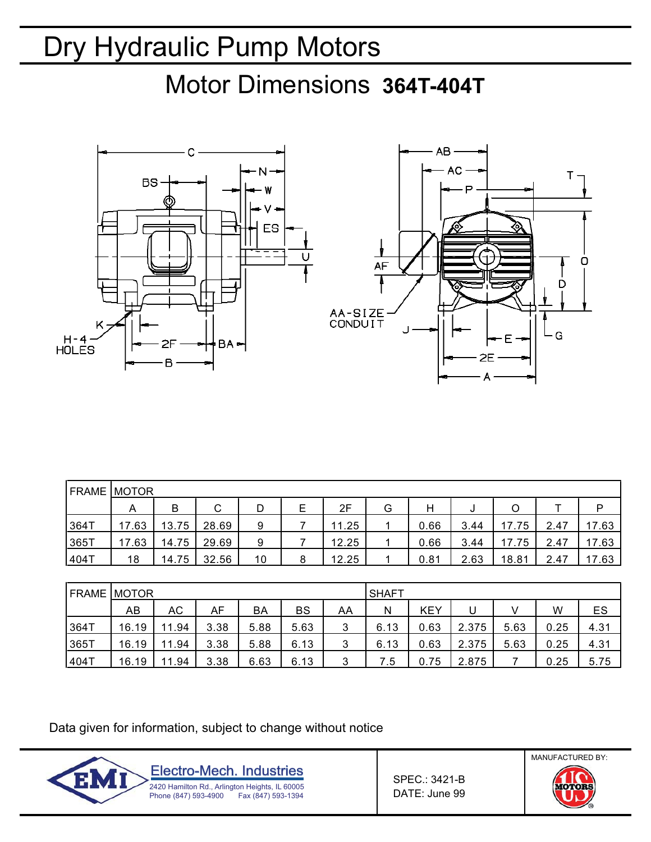Motor Dimensions **364T-404T**





| <b>FRAME</b> | <b>IMOTOR</b> |       |       |    |   |       |   |      |      |       |      |       |
|--------------|---------------|-------|-------|----|---|-------|---|------|------|-------|------|-------|
|              | A             | В     | C     | D  | E | 2F    | G | н    | J    | O     |      | P     |
| 364T         | 17.63         | 13.75 | 28.69 | 9  |   | 11.25 |   | 0.66 | 3.44 | 17.75 | 2.47 | 17.63 |
| 365T         | 17.63         | 14.75 | 29.69 | 9  |   | 12.25 |   | 0.66 | 3.44 | 17.75 | 2.47 | 17.63 |
| 404T         | 18            | 14.75 | 32.56 | 10 | 8 | 12.25 |   | 0.81 | 2.63 | 18.81 | 2.47 | 17.63 |

| <b>FRAME</b> | MOTOR |       |      |      |      | SHAFT |      |            |       |      |      |      |
|--------------|-------|-------|------|------|------|-------|------|------------|-------|------|------|------|
|              | AB    | АC    | AF   | BA   | BS   | AA    | N    | <b>KEY</b> |       |      | W    | ES   |
| 364T         | 16.19 | 11.94 | 3.38 | 5.88 | 5.63 | 3     | 6.13 | 0.63       | 2.375 | 5.63 | 0.25 | 4.31 |
| 365T         | 16.19 | 11.94 | 3.38 | 5.88 | 6.13 | 3     | 6.13 | 0.63       | 2.375 | 5.63 | 0.25 | 4.31 |
| 404T         | 16.19 | 11.94 | 3.38 | 6.63 | 6.13 | 3     | 7.5  | 0.75       | 2.875 |      | 0.25 | 5.75 |

Data given for information, subject to change without notice



SPEC.: 3421-B DATE: June 99